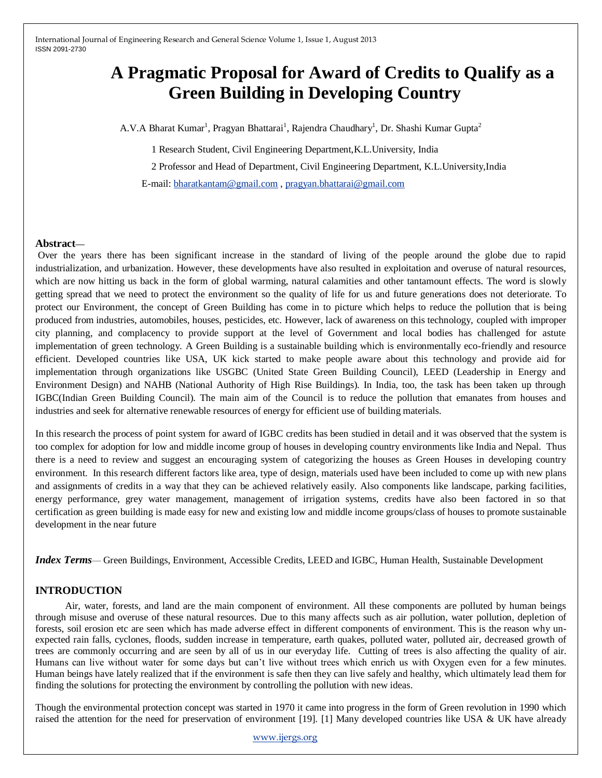# **A Pragmatic Proposal for Award of Credits to Qualify as a Green Building in Developing Country**

A.V.A Bharat Kumar<sup>1</sup>, Pragyan Bhattarai<sup>1</sup>, Rajendra Chaudhary<sup>1</sup>, Dr. Shashi Kumar Gupta<sup>2</sup>

1 Research Student, Civil Engineering Department,K.L.University, India

2 Professor and Head of Department, Civil Engineering Department, K.L.University,India

E-mail: [bharatkantam@gmail.com](mailto:bharatkantam@gmail.com) , [pragyan.bhattarai@gmail.com](mailto:pragyan.bhattarai@gmail.com)

## **Abstract—**

Over the years there has been significant increase in the standard of living of the people around the globe due to rapid industrialization, and urbanization. However, these developments have also resulted in exploitation and overuse of natural resources, which are now hitting us back in the form of global warming, natural calamities and other tantamount effects. The word is slowly getting spread that we need to protect the environment so the quality of life for us and future generations does not deteriorate. To protect our Environment, the concept of Green Building has come in to picture which helps to reduce the pollution that is being produced from industries, automobiles, houses, pesticides, etc. However, lack of awareness on this technology, coupled with improper city planning, and complacency to provide support at the level of Government and local bodies has challenged for astute implementation of green technology. A Green Building is a sustainable building which is environmentally eco-friendly and resource efficient. Developed countries like USA, UK kick started to make people aware about this technology and provide aid for implementation through organizations like USGBC (United State Green Building Council), LEED (Leadership in Energy and Environment Design) and NAHB (National Authority of High Rise Buildings). In India, too, the task has been taken up through IGBC(Indian Green Building Council). The main aim of the Council is to reduce the pollution that emanates from houses and industries and seek for alternative renewable resources of energy for efficient use of building materials.

In this research the process of point system for award of IGBC credits has been studied in detail and it was observed that the system is too complex for adoption for low and middle income group of houses in developing country environments like India and Nepal. Thus there is a need to review and suggest an encouraging system of categorizing the houses as Green Houses in developing country environment. In this research different factors like area, type of design, materials used have been included to come up with new plans and assignments of credits in a way that they can be achieved relatively easily. Also components like landscape, parking facilities, energy performance, grey water management, management of irrigation systems, credits have also been factored in so that certification as green building is made easy for new and existing low and middle income groups/class of houses to promote sustainable development in the near future

*Index Terms*— Green Buildings, Environment, Accessible Credits, LEED and IGBC, Human Health, Sustainable Development

## **INTRODUCTION**

 Air, water, forests, and land are the main component of environment. All these components are polluted by human beings through misuse and overuse of these natural resources. Due to this many affects such as air pollution, water pollution, depletion of forests, soil erosion etc are seen which has made adverse effect in different components of environment. This is the reason why unexpected rain falls, cyclones, floods, sudden increase in temperature, earth quakes, polluted water, polluted air, decreased growth of trees are commonly occurring and are seen by all of us in our everyday life. Cutting of trees is also affecting the quality of air. Humans can live without water for some days but can't live without trees which enrich us with Oxygen even for a few minutes. Human beings have lately realized that if the environment is safe then they can live safely and healthy, which ultimately lead them for finding the solutions for protecting the environment by controlling the pollution with new ideas.

Though the environmental protection concept was started in 1970 it came into progress in the form of Green revolution in 1990 which raised the attention for the need for preservation of environment [19]. [1] Many developed countries like USA & UK have already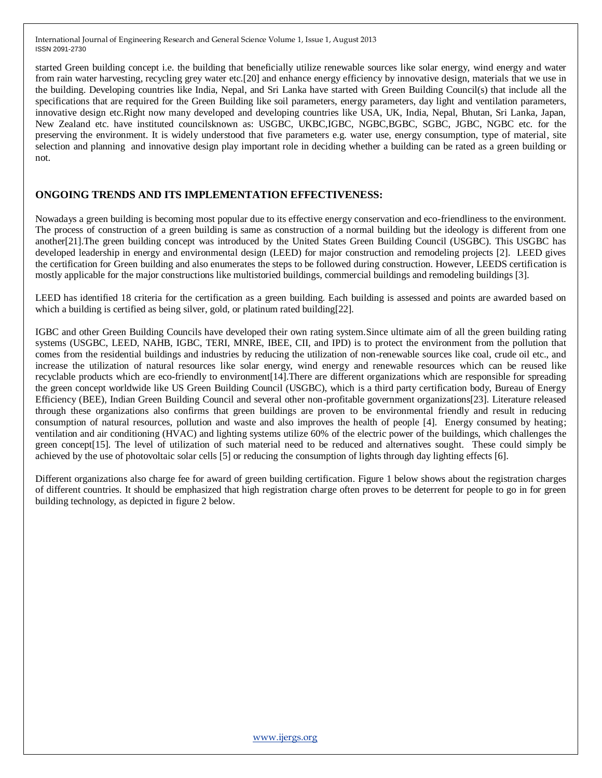started Green building concept i.e. the building that beneficially utilize renewable sources like solar energy, wind energy and water from rain water harvesting, recycling grey water etc.[20] and enhance energy efficiency by innovative design, materials that we use in the building. Developing countries like India, Nepal, and Sri Lanka have started with Green Building Council(s) that include all the specifications that are required for the Green Building like soil parameters, energy parameters, day light and ventilation parameters, innovative design etc.Right now many developed and developing countries like USA, UK, India, Nepal, Bhutan, Sri Lanka, Japan, New Zealand etc. have instituted councilsknown as: USGBC, UKBC,IGBC, NGBC,BGBC, SGBC, JGBC, NGBC etc. for the preserving the environment. It is widely understood that five parameters e.g. water use, energy consumption, type of material, site selection and planning and innovative design play important role in deciding whether a building can be rated as a green building or not.

## **ONGOING TRENDS AND ITS IMPLEMENTATION EFFECTIVENESS:**

Nowadays a green building is becoming most popular due to its effective energy conservation and eco-friendliness to the environment. The process of construction of a green building is same as construction of a normal building but the ideology is different from one another[21].The green building concept was introduced by the United States Green Building Council (USGBC). This USGBC has developed leadership in energy and environmental design (LEED) for major construction and remodeling projects [2]. LEED gives the certification for Green building and also enumerates the steps to be followed during construction. However, LEEDS certification is mostly applicable for the major constructions like multistoried buildings, commercial buildings and remodeling buildings [3].

LEED has identified 18 criteria for the certification as a green building. Each building is assessed and points are awarded based on which a building is certified as being silver, gold, or platinum rated building[22].

IGBC and other Green Building Councils have developed their own rating system.Since ultimate aim of all the green building rating systems (USGBC, LEED, NAHB, IGBC, TERI, MNRE, IBEE, CII, and IPD) is to protect the environment from the pollution that comes from the residential buildings and industries by reducing the utilization of non-renewable sources like coal, crude oil etc., and increase the utilization of natural resources like solar energy, wind energy and renewable resources which can be reused like recyclable products which are eco-friendly to environment[14].There are different organizations which are responsible for spreading the green concept worldwide like US Green Building Council (USGBC), which is a third party certification body, Bureau of Energy Efficiency (BEE), Indian Green Building Council and several other non-profitable government organizations[23]. Literature released through these organizations also confirms that green buildings are proven to be environmental friendly and result in reducing consumption of natural resources, pollution and waste and also improves the health of people [4]. Energy consumed by heating; ventilation and air conditioning (HVAC) and lighting systems utilize 60% of the electric power of the buildings, which challenges the green concept[15]. The level of utilization of such material need to be reduced and alternatives sought. These could simply be achieved by the use of photovoltaic solar cells [5] or reducing the consumption of lights through day lighting effects [6].

Different organizations also charge fee for award of green building certification. Figure 1 below shows about the registration charges of different countries. It should be emphasized that high registration charge often proves to be deterrent for people to go in for green building technology, as depicted in figure 2 below.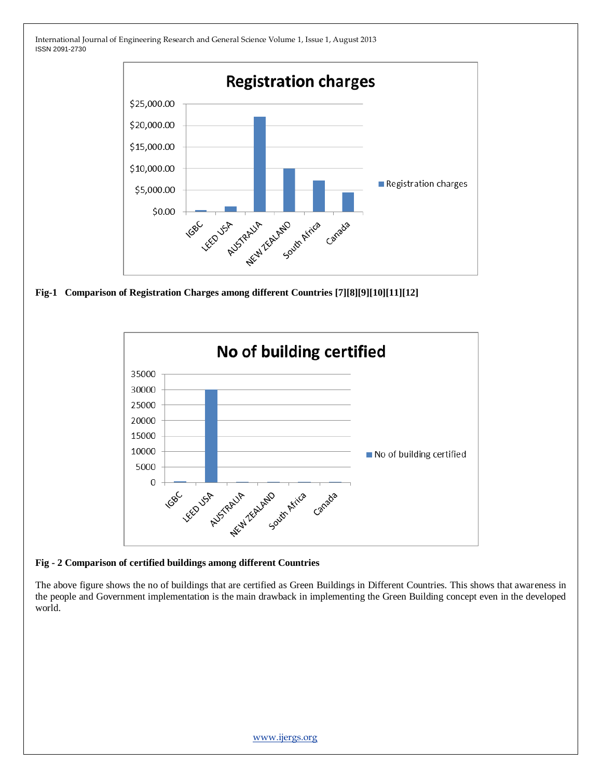

**Fig-1 Comparison of Registration Charges among different Countries [7][8][9][10][11][12]**



#### **Fig - 2 Comparison of certified buildings among different Countries**

The above figure shows the no of buildings that are certified as Green Buildings in Different Countries. This shows that awareness in the people and Government implementation is the main drawback in implementing the Green Building concept even in the developed world.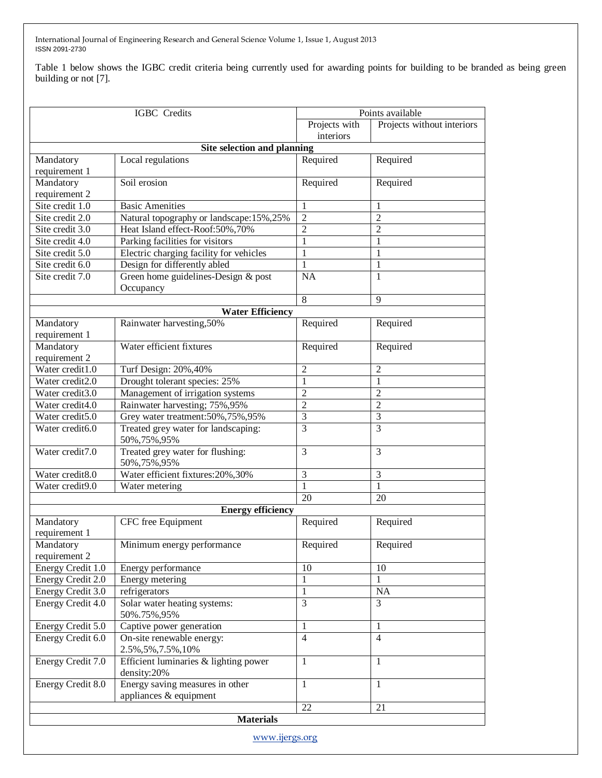Table 1 below shows the IGBC credit criteria being currently used for awarding points for building to be branded as being green building or not [7].

| <b>IGBC</b> Credits         |                                                           | Points available |                            |  |
|-----------------------------|-----------------------------------------------------------|------------------|----------------------------|--|
|                             |                                                           | Projects with    | Projects without interiors |  |
|                             |                                                           | interiors        |                            |  |
| Site selection and planning |                                                           |                  |                            |  |
| Mandatory                   | Local regulations                                         | Required         | Required                   |  |
| requirement 1               |                                                           |                  |                            |  |
| Mandatory                   | Soil erosion                                              | Required         | Required                   |  |
| requirement 2               |                                                           |                  |                            |  |
| Site credit 1.0             | <b>Basic Amenities</b>                                    | 1                | 1                          |  |
| Site credit 2.0             | Natural topography or landscape:15%,25%                   | $\overline{2}$   | $\overline{2}$             |  |
| Site credit 3.0             | Heat Island effect-Roof:50%,70%                           | $\overline{2}$   | $\overline{2}$             |  |
| Site credit 4.0             | Parking facilities for visitors                           | $\mathbf{1}$     | 1                          |  |
| Site credit 5.0             | Electric charging facility for vehicles                   | $\mathbf{1}$     | 1                          |  |
| Site credit 6.0             | Design for differently abled                              | 1                | 1                          |  |
| Site credit 7.0             | Green home guidelines-Design & post                       | $\overline{NA}$  | 1                          |  |
|                             | Occupancy                                                 |                  |                            |  |
|                             |                                                           | 8                | $\overline{9}$             |  |
|                             |                                                           |                  |                            |  |
|                             | <b>Water Efficiency</b>                                   |                  |                            |  |
| Mandatory<br>requirement 1  | Rainwater harvesting, 50%                                 | Required         | Required                   |  |
| Mandatory                   | Water efficient fixtures                                  | Required         | Required                   |  |
| requirement 2               |                                                           |                  |                            |  |
| Water credit1.0             | Turf Design: 20%, 40%                                     | 2                | $\overline{2}$             |  |
| Water credit2.0             | Drought tolerant species: 25%                             | 1                | 1                          |  |
| Water credit3.0             | Management of irrigation systems                          | $\mathbf{2}$     | $\sqrt{2}$                 |  |
| Water credit4.0             | Rainwater harvesting; 75%, 95%                            | $\mathbf{2}$     | $\sqrt{2}$                 |  |
| Water credit5.0             | Grey water treatment:50%,75%,95%                          | 3                | $\overline{3}$             |  |
| Water credit6.0             | Treated grey water for landscaping:<br>50%, 75%, 95%      | 3                | $\overline{3}$             |  |
| Water credit7.0             | Treated grey water for flushing:<br>50%, 75%, 95%         | 3                | 3                          |  |
| Water credit8.0             | Water efficient fixtures: 20%, 30%                        | $\overline{3}$   | $\overline{3}$             |  |
| Water credit9.0             | Water metering                                            | $\mathbf{1}$     | $\mathbf{1}$               |  |
|                             |                                                           | 20               | 20                         |  |
|                             | <b>Energy efficiency</b>                                  |                  |                            |  |
| Mandatory                   | CFC free Equipment                                        | Required         | Required                   |  |
| requirement 1               |                                                           |                  |                            |  |
| Mandatory                   | Minimum energy performance                                | Required         | Required                   |  |
| requirement 2               |                                                           |                  |                            |  |
| Energy Credit 1.0           | Energy performance                                        | 10               | 10                         |  |
| Energy Credit 2.0           | Energy metering                                           |                  | 1                          |  |
| Energy Credit 3.0           | refrigerators                                             | 1                | <b>NA</b>                  |  |
| Energy Credit 4.0           | Solar water heating systems:                              | $\overline{3}$   | $\overline{3}$             |  |
|                             | 50%.75%,95%                                               |                  |                            |  |
| Energy Credit 5.0           | Captive power generation                                  | 1                | 1                          |  |
| Energy Credit 6.0           | On-site renewable energy:<br>2.5%, 5%, 7.5%, 10%          | $\overline{4}$   | $\overline{4}$             |  |
| Energy Credit 7.0           | Efficient luminaries & lighting power<br>density:20%      | $\mathbf{1}$     | 1                          |  |
| Energy Credit 8.0           | Energy saving measures in other<br>appliances & equipment | $\mathbf{1}$     | 1                          |  |
| 22<br>21                    |                                                           |                  |                            |  |
|                             | <b>Materials</b>                                          |                  |                            |  |
|                             |                                                           |                  |                            |  |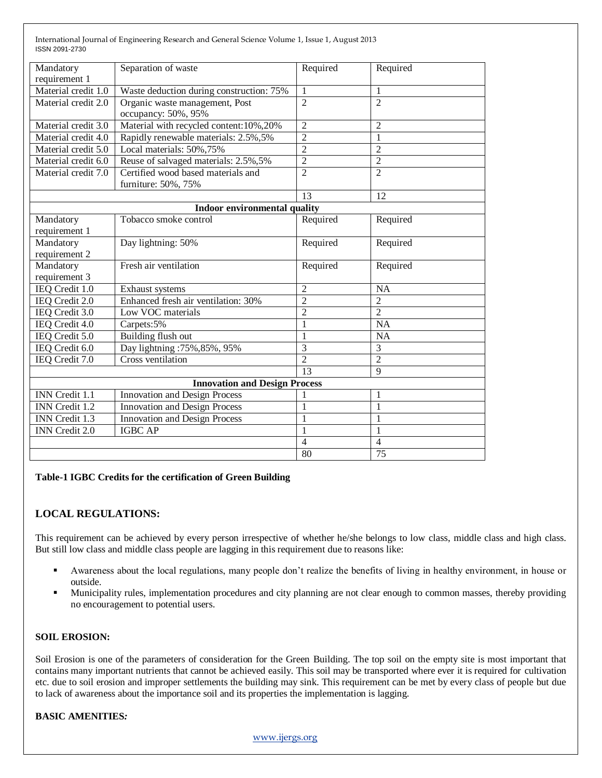| Mandatory<br>requirement 1 | Separation of waste                                       | Required        | Required       |
|----------------------------|-----------------------------------------------------------|-----------------|----------------|
| Material credit 1.0        | Waste deduction during construction: 75%                  | 1               | 1              |
| Material credit 2.0        | Organic waste management, Post<br>occupancy: 50%, 95%     | $\overline{2}$  | $\overline{2}$ |
| Material credit 3.0        | Material with recycled content: 10%, 20%                  | $\overline{c}$  | 2              |
| Material credit 4.0        | Rapidly renewable materials: 2.5%, 5%                     | $\overline{2}$  | 1              |
| Material credit 5.0        | Local materials: 50%, 75%                                 | $\overline{2}$  | $\overline{2}$ |
| Material credit 6.0        | Reuse of salvaged materials: 2.5%, 5%                     | $\overline{2}$  | $\overline{2}$ |
| Material credit 7.0        | Certified wood based materials and<br>furniture: 50%, 75% | $\overline{2}$  | $\overline{2}$ |
|                            |                                                           | $\overline{13}$ | 12             |
|                            | <b>Indoor environmental quality</b>                       |                 |                |
| Mandatory<br>requirement 1 | Tobacco smoke control                                     | Required        | Required       |
| Mandatory<br>requirement 2 | Day lightning: 50%                                        | Required        | Required       |
| Mandatory<br>requirement 3 | Fresh air ventilation                                     | Required        | Required       |
| IEQ Credit 1.0             | Exhaust systems                                           | $\overline{2}$  | <b>NA</b>      |
| IEQ Credit 2.0             | Enhanced fresh air ventilation: 30%                       | $\overline{2}$  | $\overline{2}$ |
| IEQ Credit 3.0             | Low VOC materials                                         | $\overline{2}$  | $\overline{2}$ |
| IEQ Credit 4.0             | Carpets:5%                                                | 1               | <b>NA</b>      |
| IEQ Credit 5.0             | Building flush out                                        | 1               | <b>NA</b>      |
| IEQ Credit 6.0             | Day lightning: 75%, 85%, 95%                              | $\overline{3}$  | 3              |
| IEQ Credit 7.0             | Cross ventilation                                         | $\overline{2}$  | $\overline{2}$ |
|                            |                                                           | $\overline{13}$ | $\overline{9}$ |
|                            | <b>Innovation and Design Process</b>                      |                 |                |
| <b>INN</b> Credit 1.1      | <b>Innovation and Design Process</b>                      |                 | 1              |
| INN Credit 1.2             | Innovation and Design Process                             | 1               | 1              |
| INN Credit 1.3             | Innovation and Design Process                             | 1               | 1              |
| INN Credit 2.0             | <b>IGBC AP</b>                                            | $\mathbf{1}$    | 1              |
|                            |                                                           | $\overline{4}$  | $\overline{4}$ |
|                            |                                                           | 80              | 75             |

#### **Table-1 IGBC Credits for the certification of Green Building**

## **LOCAL REGULATIONS:**

This requirement can be achieved by every person irrespective of whether he/she belongs to low class, middle class and high class. But still low class and middle class people are lagging in this requirement due to reasons like:

- Awareness about the local regulations, many people don't realize the benefits of living in healthy environment, in house or outside.
- **Municipality rules, implementation procedures and city planning are not clear enough to common masses, thereby providing** no encouragement to potential users.

#### **SOIL EROSION:**

Soil Erosion is one of the parameters of consideration for the Green Building. The top soil on the empty site is most important that contains many important nutrients that cannot be achieved easily. This soil may be transported where ever it is required for cultivation etc. due to soil erosion and improper settlements the building may sink. This requirement can be met by every class of people but due to lack of awareness about the importance soil and its properties the implementation is lagging.

## **BASIC AMENITIES***:*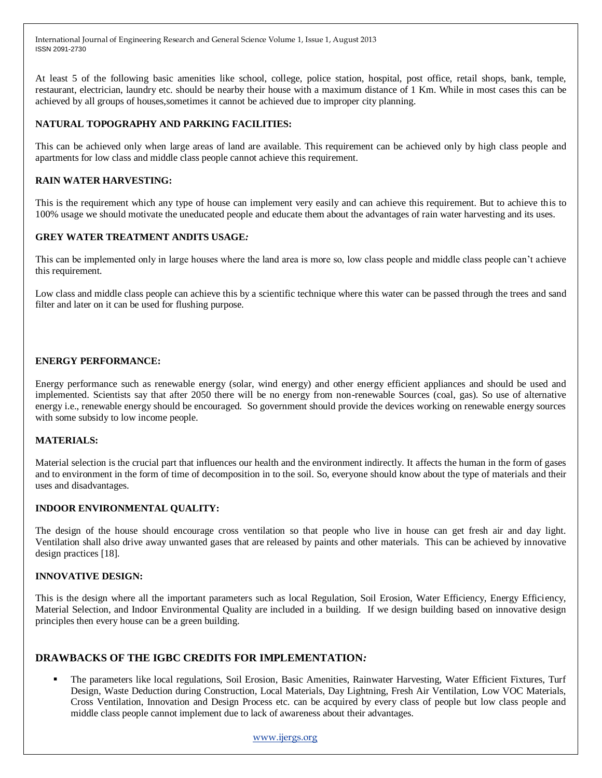At least 5 of the following basic amenities like school, college, police station, hospital, post office, retail shops, bank, temple, restaurant, electrician, laundry etc. should be nearby their house with a maximum distance of 1 Km. While in most cases this can be achieved by all groups of houses,sometimes it cannot be achieved due to improper city planning.

## **NATURAL TOPOGRAPHY AND PARKING FACILITIES:**

This can be achieved only when large areas of land are available. This requirement can be achieved only by high class people and apartments for low class and middle class people cannot achieve this requirement.

## **RAIN WATER HARVESTING:**

This is the requirement which any type of house can implement very easily and can achieve this requirement. But to achieve this to 100% usage we should motivate the uneducated people and educate them about the advantages of rain water harvesting and its uses.

## **GREY WATER TREATMENT ANDITS USAGE***:*

This can be implemented only in large houses where the land area is more so, low class people and middle class people can't achieve this requirement.

Low class and middle class people can achieve this by a scientific technique where this water can be passed through the trees and sand filter and later on it can be used for flushing purpose.

## **ENERGY PERFORMANCE:**

Energy performance such as renewable energy (solar, wind energy) and other energy efficient appliances and should be used and implemented. Scientists say that after 2050 there will be no energy from non-renewable Sources (coal, gas). So use of alternative energy i.e., renewable energy should be encouraged. So government should provide the devices working on renewable energy sources with some subsidy to low income people.

## **MATERIALS:**

Material selection is the crucial part that influences our health and the environment indirectly. It affects the human in the form of gases and to environment in the form of time of decomposition in to the soil. So, everyone should know about the type of materials and their uses and disadvantages.

## **INDOOR ENVIRONMENTAL QUALITY:**

The design of the house should encourage cross ventilation so that people who live in house can get fresh air and day light. Ventilation shall also drive away unwanted gases that are released by paints and other materials. This can be achieved by innovative design practices [18].

## **INNOVATIVE DESIGN:**

This is the design where all the important parameters such as local Regulation, Soil Erosion, Water Efficiency, Energy Efficiency, Material Selection, and Indoor Environmental Quality are included in a building. If we design building based on innovative design principles then every house can be a green building.

## **DRAWBACKS OF THE IGBC CREDITS FOR IMPLEMENTATION***:*

 The parameters like local regulations, Soil Erosion, Basic Amenities, Rainwater Harvesting, Water Efficient Fixtures, Turf Design, Waste Deduction during Construction, Local Materials, Day Lightning, Fresh Air Ventilation, Low VOC Materials, Cross Ventilation, Innovation and Design Process etc. can be acquired by every class of people but low class people and middle class people cannot implement due to lack of awareness about their advantages.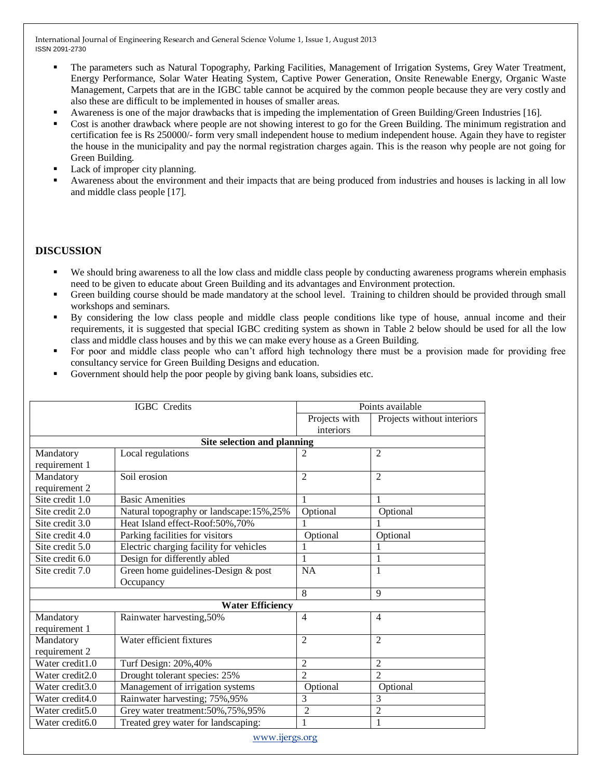- The parameters such as Natural Topography, Parking Facilities, Management of Irrigation Systems, Grey Water Treatment, Energy Performance, Solar Water Heating System, Captive Power Generation, Onsite Renewable Energy, Organic Waste Management, Carpets that are in the IGBC table cannot be acquired by the common people because they are very costly and also these are difficult to be implemented in houses of smaller areas.
- Awareness is one of the major drawbacks that is impeding the implementation of Green Building/Green Industries [16].
- Cost is another drawback where people are not showing interest to go for the Green Building. The minimum registration and certification fee is Rs 250000/- form very small independent house to medium independent house. Again they have to register the house in the municipality and pay the normal registration charges again. This is the reason why people are not going for Green Building.
- Lack of improper city planning.
- Awareness about the environment and their impacts that are being produced from industries and houses is lacking in all low and middle class people [17].

## **DISCUSSION**

- We should bring awareness to all the low class and middle class people by conducting awareness programs wherein emphasis need to be given to educate about Green Building and its advantages and Environment protection.
- Green building course should be made mandatory at the school level. Training to children should be provided through small workshops and seminars.
- By considering the low class people and middle class people conditions like type of house, annual income and their requirements, it is suggested that special IGBC crediting system as shown in Table 2 below should be used for all the low class and middle class houses and by this we can make every house as a Green Building.
- For poor and middle class people who can't afford high technology there must be a provision made for providing free consultancy service for Green Building Designs and education.
- Government should help the poor people by giving bank loans, subsidies etc.

| <b>IGBC</b> Credits         |                                         | Points available           |                            |
|-----------------------------|-----------------------------------------|----------------------------|----------------------------|
|                             |                                         | Projects with<br>interiors | Projects without interiors |
|                             | Site selection and planning             |                            |                            |
| Mandatory                   | Local regulations                       | 2                          | $\overline{2}$             |
| requirement 1               |                                         |                            |                            |
| Mandatory                   | Soil erosion                            | $\overline{2}$             | $\overline{2}$             |
| requirement 2               |                                         |                            |                            |
| Site credit 1.0             | <b>Basic Amenities</b>                  | 1                          | 1                          |
| Site credit 2.0             | Natural topography or landscape:15%,25% | Optional                   | Optional                   |
| Site credit 3.0             | Heat Island effect-Roof:50%,70%         |                            |                            |
| Site credit 4.0             | Parking facilities for visitors         | Optional                   | Optional                   |
| Site credit 5.0             | Electric charging facility for vehicles |                            |                            |
| Site credit 6.0             | Design for differently abled            |                            | 1                          |
| Site credit 7.0             | Green home guidelines-Design & post     | <b>NA</b>                  | 1                          |
|                             | Occupancy                               |                            |                            |
|                             |                                         | 8                          | $\mathbf Q$                |
|                             | <b>Water Efficiency</b>                 |                            |                            |
| Mandatory                   | Rainwater harvesting, 50%               | $\overline{4}$             | $\overline{4}$             |
| requirement 1               |                                         |                            |                            |
| Mandatory                   | Water efficient fixtures                | $\overline{2}$             | $\overline{2}$             |
| requirement 2               |                                         |                            |                            |
| Water credit1.0             | Turf Design: 20%, 40%                   | $\overline{2}$             | $\overline{2}$             |
| Water credit2.0             | Drought tolerant species: 25%           | $\overline{2}$             | $\overline{2}$             |
| Water credit3.0             | Management of irrigation systems        | Optional                   | Optional                   |
| Water credit4.0             | Rainwater harvesting; 75%, 95%          | 3                          | 3                          |
| Water credit5.0             | Grey water treatment: 50%, 75%, 95%     | 2                          | $\overline{2}$             |
| Water credit <sub>6.0</sub> | Treated grey water for landscaping:     | 1                          | 1                          |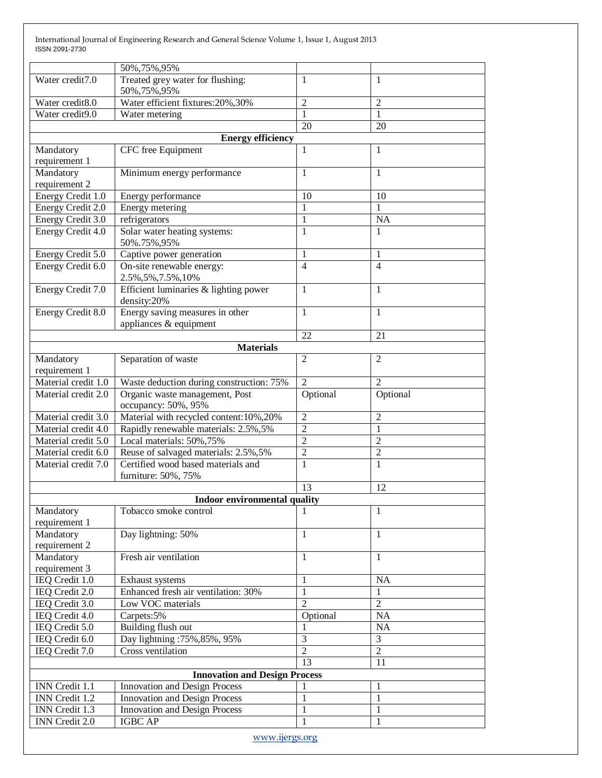|                     | 50%, 75%, 95%                            |                 |                |
|---------------------|------------------------------------------|-----------------|----------------|
| Water credit7.0     | Treated grey water for flushing:         | 1               | 1              |
|                     | 50%, 75%, 95%                            |                 |                |
| Water credit8.0     | Water efficient fixtures: 20%, 30%       | $\overline{2}$  | $\overline{2}$ |
| Water credit9.0     | Water metering                           | 1               | 1              |
|                     |                                          | $\overline{20}$ | 20             |
|                     | <b>Energy efficiency</b>                 |                 |                |
| Mandatory           | <b>CFC</b> free Equipment                | 1               | 1              |
| requirement 1       |                                          |                 |                |
| Mandatory           | Minimum energy performance               | 1               | 1              |
| requirement 2       |                                          |                 |                |
| Energy Credit 1.0   | Energy performance                       | 10              | 10             |
| Energy Credit 2.0   | Energy metering                          | 1               | 1              |
| Energy Credit 3.0   | refrigerators                            | $\mathbf{1}$    | <b>NA</b>      |
| Energy Credit 4.0   | Solar water heating systems:             | 1               | 1              |
|                     | 50%.75%,95%                              |                 |                |
| Energy Credit 5.0   | Captive power generation                 | 1               | 1              |
| Energy Credit 6.0   | On-site renewable energy:                | $\overline{4}$  | $\overline{4}$ |
|                     | 2.5%, 5%, 7.5%, 10%                      |                 |                |
| Energy Credit 7.0   | Efficient luminaries & lighting power    | 1               | 1              |
|                     | density:20%                              |                 |                |
| Energy Credit 8.0   | Energy saving measures in other          | $\mathbf{1}$    | 1              |
|                     | appliances & equipment                   |                 |                |
|                     |                                          | 22              | 21             |
|                     | <b>Materials</b>                         |                 |                |
| Mandatory           | Separation of waste                      | $\overline{2}$  | $\mathfrak{2}$ |
| requirement 1       |                                          |                 |                |
| Material credit 1.0 | Waste deduction during construction: 75% | $\overline{2}$  | $\mathfrak{D}$ |
| Material credit 2.0 | Organic waste management, Post           | Optional        | Optional       |
|                     | occupancy: 50%, 95%                      |                 |                |
| Material credit 3.0 | Material with recycled content: 10%, 20% | $\overline{2}$  | $\overline{2}$ |
| Material credit 4.0 | Rapidly renewable materials: 2.5%, 5%    | $\overline{2}$  | $\mathbf{1}$   |
| Material credit 5.0 | Local materials: 50%,75%                 | $\overline{2}$  | $\overline{2}$ |
| Material credit 6.0 | Reuse of salvaged materials: 2.5%, 5%    | $\overline{2}$  | $\overline{2}$ |
| Material credit 7.0 | Certified wood based materials and       | 1               | 1              |
|                     | furniture: 50%, 75%                      |                 |                |
|                     |                                          | 13              | 12             |
|                     | Indoor environmental quality             |                 |                |
| Mandatory           | Tobacco smoke control                    | 1               | 1              |
| requirement 1       |                                          |                 |                |
| Mandatory           | Day lightning: 50%                       | 1               | 1              |
| requirement 2       |                                          |                 |                |
| Mandatory           | Fresh air ventilation                    | 1               | 1              |
| requirement 3       |                                          |                 |                |
| IEQ Credit 1.0      | Exhaust systems                          | 1               | <b>NA</b>      |
| IEQ Credit 2.0      | Enhanced fresh air ventilation: 30%      | $\mathbf{1}$    | $\mathbf{1}$   |
| IEQ Credit 3.0      | Low VOC materials                        | $\overline{2}$  | $\overline{2}$ |
| IEQ Credit 4.0      | Carpets:5%                               | Optional        | NA             |
| IEQ Credit 5.0      | Building flush out                       | 1               | NA             |
| IEQ Credit 6.0      | Day lightning: 75%, 85%, 95%             | $\overline{3}$  | 3              |
| IEQ Credit 7.0      | Cross ventilation                        | $\overline{2}$  | $\overline{2}$ |
|                     |                                          | 13              | 11             |
|                     | <b>Innovation and Design Process</b>     |                 |                |
| INN Credit 1.1      | Innovation and Design Process            | 1               | 1              |
| INN Credit 1.2      | <b>Innovation and Design Process</b>     | $\mathbf{1}$    | 1              |
| INN Credit 1.3      | <b>Innovation and Design Process</b>     | $\mathbf{1}$    | 1              |
| INN Credit 2.0      | <b>IGBC AP</b>                           | 1               | 1              |
|                     |                                          |                 |                |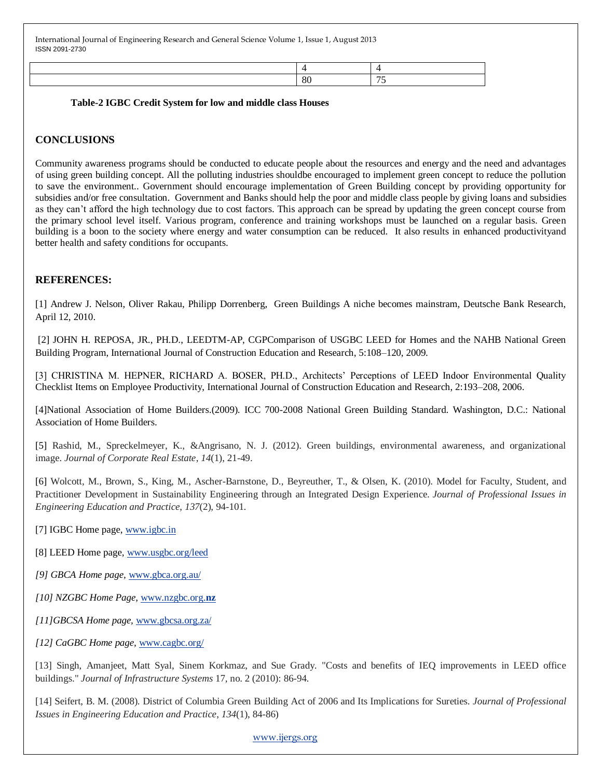| 80 |  |
|----|--|

#### **Table-2 IGBC Credit System for low and middle class Houses**

# **CONCLUSIONS**

Community awareness programs should be conducted to educate people about the resources and energy and the need and advantages of using green building concept. All the polluting industries shouldbe encouraged to implement green concept to reduce the pollution to save the environment.. Government should encourage implementation of Green Building concept by providing opportunity for subsidies and/or free consultation. Government and Banks should help the poor and middle class people by giving loans and subsidies as they can't afford the high technology due to cost factors. This approach can be spread by updating the green concept course from the primary school level itself. Various program, conference and training workshops must be launched on a regular basis. Green building is a boon to the society where energy and water consumption can be reduced. It also results in enhanced productivityand better health and safety conditions for occupants.

## **REFERENCES:**

[1] Andrew J. Nelson, Oliver Rakau, Philipp Dorrenberg, Green Buildings A niche becomes mainstram, Deutsche Bank Research, April 12, 2010.

[2] JOHN H. REPOSA, JR., PH.D., LEEDTM-AP, CGPComparison of USGBC LEED for Homes and the NAHB National Green Building Program, International Journal of Construction Education and Research, 5:108–120, 2009.

[3] CHRISTINA M. HEPNER, RICHARD A. BOSER, PH.D., Architects' Perceptions of LEED Indoor Environmental Quality Checklist Items on Employee Productivity, International Journal of Construction Education and Research, 2:193–208, 2006.

[4]National Association of Home Builders.(2009). ICC 700-2008 National Green Building Standard. Washington, D.C.: National Association of Home Builders.

[5] Rashid, M., Spreckelmeyer, K., &Angrisano, N. J. (2012). Green buildings, environmental awareness, and organizational image. *Journal of Corporate Real Estate*, *14*(1), 21-49.

[6] Wolcott, M., Brown, S., King, M., Ascher-Barnstone, D., Beyreuther, T., & Olsen, K. (2010). Model for Faculty, Student, and Practitioner Development in Sustainability Engineering through an Integrated Design Experience. *Journal of Professional Issues in Engineering Education and Practice*, *137*(2), 94-101.

[7] IGBC Home page, [www.igbc.in](http://www.igbc.in/)

[8] LEED Home page, [www.usgbc.org/leed](http://www.usgbc.org/leed)

*[9] GBCA Home page,* [www.gbca.org.au/](http://www.gbca.org.au/)

*[10] NZGBC Home Page,* [www.nzgbc.org.](http://www.nzgbc.org.nz/)**nz**

*[11]GBCSA Home page,* [www.gbcsa.org.za/](http://www.gbcsa.org.za/)

*[12] CaGBC Home page,* [www.cagbc.org/](http://www.cagbc.org/)

[13] Singh, Amanjeet, Matt Syal, Sinem Korkmaz, and Sue Grady. "Costs and benefits of IEQ improvements in LEED office buildings." *Journal of Infrastructure Systems* 17, no. 2 (2010): 86-94.

[14] Seifert, B. M. (2008). District of Columbia Green Building Act of 2006 and Its Implications for Sureties. *Journal of Professional Issues in Engineering Education and Practice*, *134*(1), 84-86)